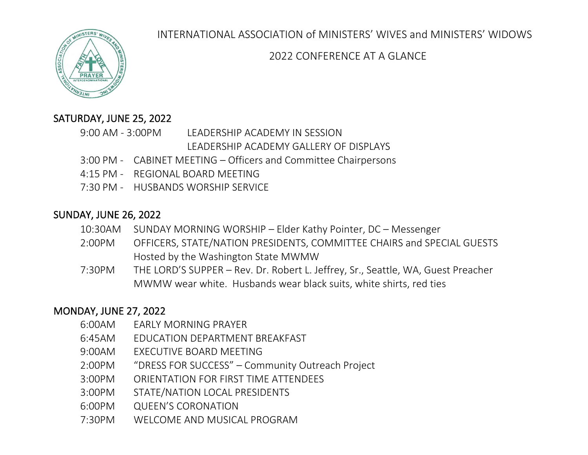INTERNATIONAL ASSOCIATION of MINISTERS' WIVES and MINISTERS' WIDOWS



2022 CONFERENCE AT A GLANCE

### SATURDAY, JUNE 25, 2022

- 9:00 AM 3:00PM LEADERSHIP ACADEMY IN SESSION LEADERSHIP ACADEMY GALLERY OF DISPLAYS
- 3:00 PM CABINET MEETING Officers and Committee Chairpersons
- 4:15 PM REGIONAL BOARD MEETING
- 7:30 PM HUSBANDS WORSHIP SERVICE

## SUNDAY, JUNE 26, 2022

- 10:30AM SUNDAY MORNING WORSHIP Elder Kathy Pointer, DC Messenger
- 2:00PM OFFICERS, STATE/NATION PRESIDENTS, COMMITTEE CHAIRS and SPECIAL GUESTS Hosted by the Washington State MWMW
- 7:30PM THE LORD'S SUPPER Rev. Dr. Robert L. Jeffrey, Sr., Seattle, WA, Guest Preacher MWMW wear white. Husbands wear black suits, white shirts, red ties

# MONDAY, JUNE 27, 2022

- 6:00AM EARLY MORNING PRAYER
- 6:45AM EDUCATION DEPARTMENT BREAKFAST
- 9:00AM EXECUTIVE BOARD MEETING
- 2:00PM "DRESS FOR SUCCESS" Community Outreach Project
- 3:00PM ORIENTATION FOR FIRST TIME ATTENDEES
- 3:00PM STATE/NATION LOCAL PRESIDENTS
- 6:00PM QUEEN'S CORONATION
- 7:30PM WELCOME AND MUSICAL PROGRAM